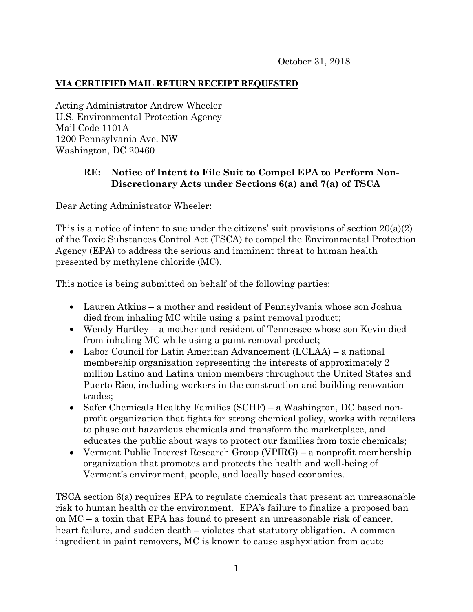## **VIA CERTIFIED MAIL RETURN RECEIPT REQUESTED**

Acting Administrator Andrew Wheeler U.S. Environmental Protection Agency Mail Code 1101A 1200 Pennsylvania Ave. NW Washington, DC 20460

## **RE: Notice of Intent to File Suit to Compel EPA to Perform Non-Discretionary Acts under Sections 6(a) and 7(a) of TSCA**

Dear Acting Administrator Wheeler:

This is a notice of intent to sue under the citizens' suit provisions of section  $20(a)(2)$ of the Toxic Substances Control Act (TSCA) to compel the Environmental Protection Agency (EPA) to address the serious and imminent threat to human health presented by methylene chloride (MC).

This notice is being submitted on behalf of the following parties:

- Lauren Atkins a mother and resident of Pennsylvania whose son Joshua died from inhaling MC while using a paint removal product;
- Wendy Hartley a mother and resident of Tennessee whose son Kevin died from inhaling MC while using a paint removal product;
- Labor Council for Latin American Advancement (LCLAA) a national membership organization representing the interests of approximately 2 million Latino and Latina union members throughout the United States and Puerto Rico, including workers in the construction and building renovation trades;
- Safer Chemicals Healthy Families (SCHF) a Washington, DC based nonprofit organization that fights for strong chemical policy, works with retailers to phase out hazardous chemicals and transform the marketplace, and educates the public about ways to protect our families from toxic chemicals;
- Vermont Public Interest Research Group (VPIRG) a nonprofit membership organization that promotes and protects the health and well-being of Vermont's environment, people, and locally based economies.

TSCA section 6(a) requires EPA to regulate chemicals that present an unreasonable risk to human health or the environment. EPA's failure to finalize a proposed ban on MC – a toxin that EPA has found to present an unreasonable risk of cancer, heart failure, and sudden death – violates that statutory obligation. A common ingredient in paint removers, MC is known to cause asphyxiation from acute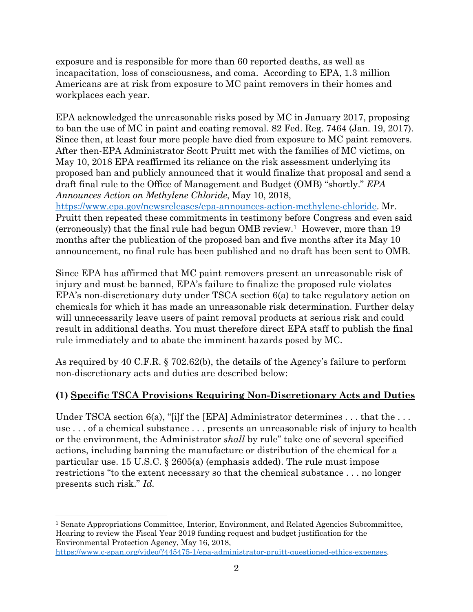exposure and is responsible for more than 60 reported deaths, as well as incapacitation, loss of consciousness, and coma. According to EPA, 1.3 million Americans are at risk from exposure to MC paint removers in their homes and workplaces each year.

EPA acknowledged the unreasonable risks posed by MC in January 2017, proposing to ban the use of MC in paint and coating removal. 82 Fed. Reg. 7464 (Jan. 19, 2017). Since then, at least four more people have died from exposure to MC paint removers. After then-EPA Administrator Scott Pruitt met with the families of MC victims, on May 10, 2018 EPA reaffirmed its reliance on the risk assessment underlying its proposed ban and publicly announced that it would finalize that proposal and send a draft final rule to the Office of Management and Budget (OMB) "shortly." *EPA Announces Action on Methylene Chloride*, May 10, 2018, https://www.epa.gov/newsreleases/epa-announces-action-methylene-chloride. Mr.

Pruitt then repeated these commitments in testimony before Congress and even said (erroneously) that the final rule had begun OMB review.1 However, more than 19 months after the publication of the proposed ban and five months after its May 10 announcement, no final rule has been published and no draft has been sent to OMB.

Since EPA has affirmed that MC paint removers present an unreasonable risk of injury and must be banned, EPA's failure to finalize the proposed rule violates EPA's non-discretionary duty under TSCA section 6(a) to take regulatory action on chemicals for which it has made an unreasonable risk determination. Further delay will unnecessarily leave users of paint removal products at serious risk and could result in additional deaths. You must therefore direct EPA staff to publish the final rule immediately and to abate the imminent hazards posed by MC.

As required by 40 C.F.R. § 702.62(b), the details of the Agency's failure to perform non-discretionary acts and duties are described below:

# **(1) Specific TSCA Provisions Requiring Non-Discretionary Acts and Duties**

Under TSCA section 6(a), "[i]f the [EPA] Administrator determines . . . that the . . . use . . . of a chemical substance . . . presents an unreasonable risk of injury to health or the environment, the Administrator *shall* by rule" take one of several specified actions, including banning the manufacture or distribution of the chemical for a particular use. 15 U.S.C. § 2605(a) (emphasis added). The rule must impose restrictions "to the extent necessary so that the chemical substance . . . no longer presents such risk." *Id.* 

 $\overline{a}$ <sup>1</sup> Senate Appropriations Committee, Interior, Environment, and Related Agencies Subcommittee, Hearing to review the Fiscal Year 2019 funding request and budget justification for the Environmental Protection Agency, May 16, 2018,

https://www.c-span.org/video/?445475-1/epa-administrator-pruitt-questioned-ethics-expenses.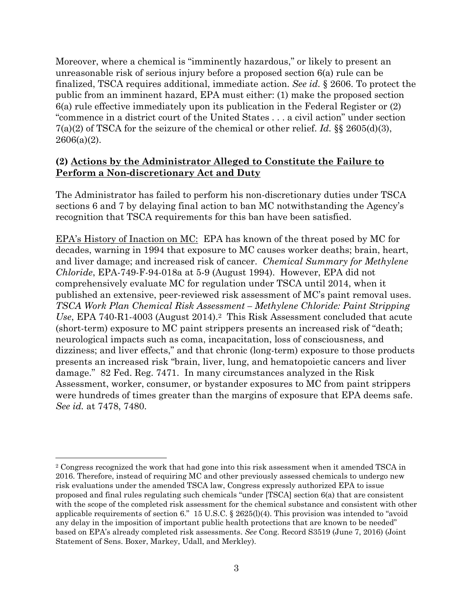Moreover, where a chemical is "imminently hazardous," or likely to present an unreasonable risk of serious injury before a proposed section 6(a) rule can be finalized, TSCA requires additional, immediate action. *See id.* § 2606. To protect the public from an imminent hazard, EPA must either: (1) make the proposed section 6(a) rule effective immediately upon its publication in the Federal Register or (2) "commence in a district court of the United States . . . a civil action" under section 7(a)(2) of TSCA for the seizure of the chemical or other relief. *Id.* §§ 2605(d)(3),  $2606(a)(2)$ .

#### **(2) Actions by the Administrator Alleged to Constitute the Failure to Perform a Non-discretionary Act and Duty**

The Administrator has failed to perform his non-discretionary duties under TSCA sections 6 and 7 by delaying final action to ban MC notwithstanding the Agency's recognition that TSCA requirements for this ban have been satisfied.

EPA's History of Inaction on MC: EPA has known of the threat posed by MC for decades, warning in 1994 that exposure to MC causes worker deaths; brain, heart, and liver damage; and increased risk of cancer. *Chemical Summary for Methylene Chloride*, EPA-749-F-94-018a at 5-9 (August 1994). However, EPA did not comprehensively evaluate MC for regulation under TSCA until 2014, when it published an extensive, peer-reviewed risk assessment of MC's paint removal uses. *TSCA Work Plan Chemical Risk Assessment – Methylene Chloride: Paint Stripping Use*, EPA 740-R1-4003 (August 2014).2 This Risk Assessment concluded that acute (short-term) exposure to MC paint strippers presents an increased risk of "death; neurological impacts such as coma, incapacitation, loss of consciousness, and dizziness; and liver effects," and that chronic (long-term) exposure to those products presents an increased risk "brain, liver, lung, and hematopoietic cancers and liver damage." 82 Fed. Reg. 7471. In many circumstances analyzed in the Risk Assessment, worker, consumer, or bystander exposures to MC from paint strippers were hundreds of times greater than the margins of exposure that EPA deems safe. *See id.* at 7478, 7480.

<sup>1</sup> <sup>2</sup> Congress recognized the work that had gone into this risk assessment when it amended TSCA in 2016. Therefore, instead of requiring MC and other previously assessed chemicals to undergo new risk evaluations under the amended TSCA law, Congress expressly authorized EPA to issue proposed and final rules regulating such chemicals "under [TSCA] section 6(a) that are consistent with the scope of the completed risk assessment for the chemical substance and consistent with other applicable requirements of section 6." 15 U.S.C. § 2625(l)(4). This provision was intended to "avoid any delay in the imposition of important public health protections that are known to be needed" based on EPA's already completed risk assessments. *See* Cong. Record S3519 (June 7, 2016) (Joint Statement of Sens. Boxer, Markey, Udall, and Merkley).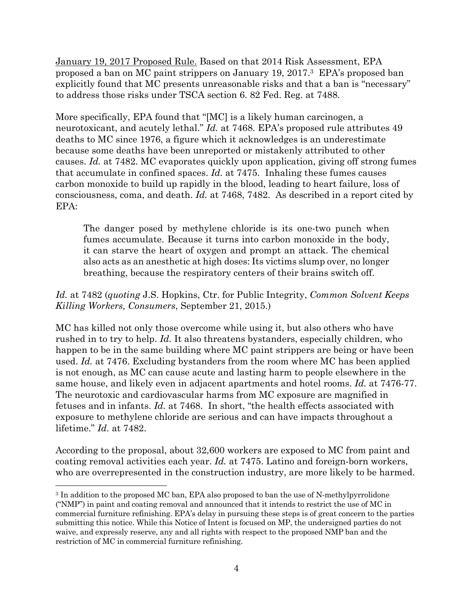January 19, 2017 Proposed Rule. Based on that 2014 Risk Assessment, EPA proposed a ban on MC paint strippers on January 19, 2017.3 EPA's proposed ban explicitly found that MC presents unreasonable risks and that a ban is "necessary" to address those risks under TSCA section 6. 82 Fed. Reg. at 7488.

More specifically, EPA found that "[MC] is a likely human carcinogen, a neurotoxicant, and acutely lethal." *Id.* at 7468. EPA's proposed rule attributes 49 deaths to MC since 1976, a figure which it acknowledges is an underestimate because some deaths have been unreported or mistakenly attributed to other causes. *Id.* at 7482. MC evaporates quickly upon application, giving off strong fumes that accumulate in confined spaces. *Id.* at 7475. Inhaling these fumes causes carbon monoxide to build up rapidly in the blood, leading to heart failure, loss of consciousness, coma, and death. *Id.* at 7468, 7482. As described in a report cited by EPA:

The danger posed by methylene chloride is its one-two punch when fumes accumulate. Because it turns into carbon monoxide in the body, it can starve the heart of oxygen and prompt an attack. The chemical also acts as an anesthetic at high doses: Its victims slump over, no longer breathing, because the respiratory centers of their brains switch off.

## *Id.* at 7482 (*quoting* J.S. Hopkins, Ctr. for Public Integrity, *Common Solvent Keeps Killing Workers, Consumers*, September 21, 2015.)

MC has killed not only those overcome while using it, but also others who have rushed in to try to help. *Id.* It also threatens bystanders, especially children, who happen to be in the same building where MC paint strippers are being or have been used. *Id.* at 7476. Excluding bystanders from the room where MC has been applied is not enough, as MC can cause acute and lasting harm to people elsewhere in the same house, and likely even in adjacent apartments and hotel rooms. *Id.* at 7476-77. The neurotoxic and cardiovascular harms from MC exposure are magnified in fetuses and in infants. *Id.* at 7468. In short, "the health effects associated with exposure to methylene chloride are serious and can have impacts throughout a lifetime." *Id.* at 7482.

According to the proposal, about 32,600 workers are exposed to MC from paint and coating removal activities each year. *Id.* at 7475. Latino and foreign-born workers, who are overrepresented in the construction industry, are more likely to be harmed.

1

<sup>3</sup> In addition to the proposed MC ban, EPA also proposed to ban the use of N-methylpyrrolidone ("NMP") in paint and coating removal and announced that it intends to restrict the use of MC in commercial furniture refinishing. EPA's delay in pursuing these steps is of great concern to the parties submitting this notice. While this Notice of Intent is focused on MP, the undersigned parties do not waive, and expressly reserve, any and all rights with respect to the proposed NMP ban and the restriction of MC in commercial furniture refinishing.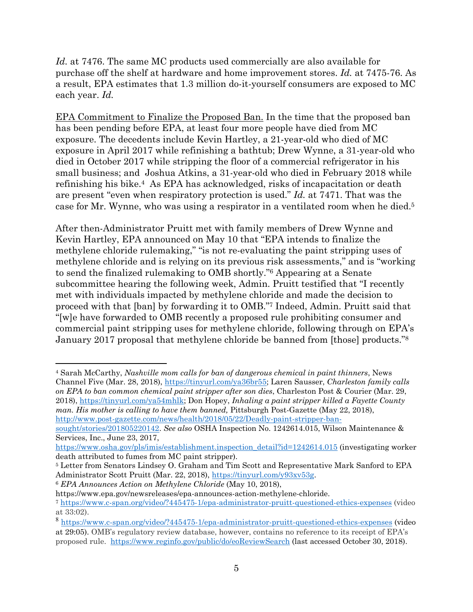*Id.* at 7476. The same MC products used commercially are also available for purchase off the shelf at hardware and home improvement stores. *Id.* at 7475-76. As a result, EPA estimates that 1.3 million do-it-yourself consumers are exposed to MC each year. *Id.*

EPA Commitment to Finalize the Proposed Ban. In the time that the proposed ban has been pending before EPA, at least four more people have died from MC exposure. The decedents include Kevin Hartley, a 21-year-old who died of MC exposure in April 2017 while refinishing a bathtub; Drew Wynne, a 31-year-old who died in October 2017 while stripping the floor of a commercial refrigerator in his small business; and Joshua Atkins, a 31-year-old who died in February 2018 while refinishing his bike.4 As EPA has acknowledged, risks of incapacitation or death are present "even when respiratory protection is used." *Id.* at 7471. That was the case for Mr. Wynne, who was using a respirator in a ventilated room when he died.5

After then-Administrator Pruitt met with family members of Drew Wynne and Kevin Hartley, EPA announced on May 10 that "EPA intends to finalize the methylene chloride rulemaking," "is not re-evaluating the paint stripping uses of methylene chloride and is relying on its previous risk assessments," and is "working to send the finalized rulemaking to OMB shortly."6 Appearing at a Senate subcommittee hearing the following week, Admin. Pruitt testified that "I recently met with individuals impacted by methylene chloride and made the decision to proceed with that [ban] by forwarding it to OMB."7 Indeed, Admin. Pruitt said that "[w]e have forwarded to OMB recently a proposed rule prohibiting consumer and commercial paint stripping uses for methylene chloride, following through on EPA's January 2017 proposal that methylene chloride be banned from [those] products."8

sought/stories/201805220142. *See also* OSHA Inspection No. 1242614.015, Wilson Maintenance & Services, Inc., June 23, 2017,

<sup>4</sup> Sarah McCarthy, *Nashville mom calls for ban of dangerous chemical in paint thinners*, News Channel Five (Mar. 28, 2018), https://tinyurl.com/ya36br55; Laren Sausser, *Charleston family calls on EPA to ban common chemical paint stripper after son dies*, Charleston Post & Courier (Mar. 29, 2018), https://tinyurl.com/ya54mhlk; Don Hopey, *Inhaling a paint stripper killed a Fayette County man. His mother is calling to have them banned, Pittsburgh Post-Gazette (May 22, 2018),* http://www.post-gazette.com/news/health/2018/05/22/Deadly-paint-stripper-ban-

https://www.osha.gov/pls/imis/establishment.inspection\_detail?id=1242614.015 (investigating worker death attributed to fumes from MC paint stripper).

<sup>5</sup> Letter from Senators Lindsey O. Graham and Tim Scott and Representative Mark Sanford to EPA Administrator Scott Pruitt (Mar. 22, 2018), https://tinyurl.com/y93xv53g. 6 *EPA Announces Action on Methylene Chloride* (May 10, 2018),

https://www.epa.gov/newsreleases/epa-announces-action-methylene-chloride.

<sup>7</sup> https://www.c-span.org/video/?445475-1/epa-administrator-pruitt-questioned-ethics-expenses (video at 33:02).

<sup>8</sup> https://www.c-span.org/video/?445475-1/epa-administrator-pruitt-questioned-ethics-expenses (video at 29:05). OMB's regulatory review database, however, contains no reference to its receipt of EPA's proposed rule. https://www.reginfo.gov/public/do/eoReviewSearch (last accessed October 30, 2018).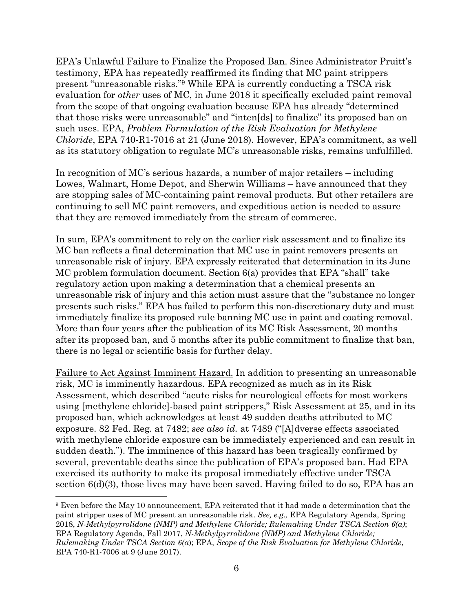EPA's Unlawful Failure to Finalize the Proposed Ban. Since Administrator Pruitt's testimony, EPA has repeatedly reaffirmed its finding that MC paint strippers present "unreasonable risks."9 While EPA is currently conducting a TSCA risk evaluation for *other* uses of MC, in June 2018 it specifically excluded paint removal from the scope of that ongoing evaluation because EPA has already "determined that those risks were unreasonable" and "inten[ds] to finalize" its proposed ban on such uses. EPA, *Problem Formulation of the Risk Evaluation for Methylene Chloride*, EPA 740-R1-7016 at 21 (June 2018). However, EPA's commitment, as well as its statutory obligation to regulate MC's unreasonable risks, remains unfulfilled.

In recognition of MC's serious hazards, a number of major retailers – including Lowes, Walmart, Home Depot, and Sherwin Williams – have announced that they are stopping sales of MC-containing paint removal products. But other retailers are continuing to sell MC paint removers, and expeditious action is needed to assure that they are removed immediately from the stream of commerce.

In sum, EPA's commitment to rely on the earlier risk assessment and to finalize its MC ban reflects a final determination that MC use in paint removers presents an unreasonable risk of injury. EPA expressly reiterated that determination in its June MC problem formulation document. Section 6(a) provides that EPA "shall" take regulatory action upon making a determination that a chemical presents an unreasonable risk of injury and this action must assure that the "substance no longer presents such risks." EPA has failed to perform this non-discretionary duty and must immediately finalize its proposed rule banning MC use in paint and coating removal. More than four years after the publication of its MC Risk Assessment, 20 months after its proposed ban, and 5 months after its public commitment to finalize that ban, there is no legal or scientific basis for further delay.

Failure to Act Against Imminent Hazard. In addition to presenting an unreasonable risk, MC is imminently hazardous. EPA recognized as much as in its Risk Assessment, which described "acute risks for neurological effects for most workers using [methylene chloride]-based paint strippers," Risk Assessment at 25, and in its proposed ban, which acknowledges at least 49 sudden deaths attributed to MC exposure. 82 Fed. Reg. at 7482; *see also id.* at 7489 ("[A]dverse effects associated with methylene chloride exposure can be immediately experienced and can result in sudden death."). The imminence of this hazard has been tragically confirmed by several, preventable deaths since the publication of EPA's proposed ban. Had EPA exercised its authority to make its proposal immediately effective under TSCA section 6(d)(3), those lives may have been saved. Having failed to do so, EPA has an

<sup>9</sup> Even before the May 10 announcement, EPA reiterated that it had made a determination that the paint stripper uses of MC present an unreasonable risk. *See, e.g.,* EPA Regulatory Agenda, Spring 2018, *N-Methylpyrrolidone (NMP) and Methylene Chloride; Rulemaking Under TSCA Section 6(a)*; EPA Regulatory Agenda, Fall 2017, *N-Methylpyrrolidone (NMP) and Methylene Chloride; Rulemaking Under TSCA Section 6(a*); EPA, *Scope of the Risk Evaluation for Methylene Chloride*, EPA 740-R1-7006 at 9 (June 2017).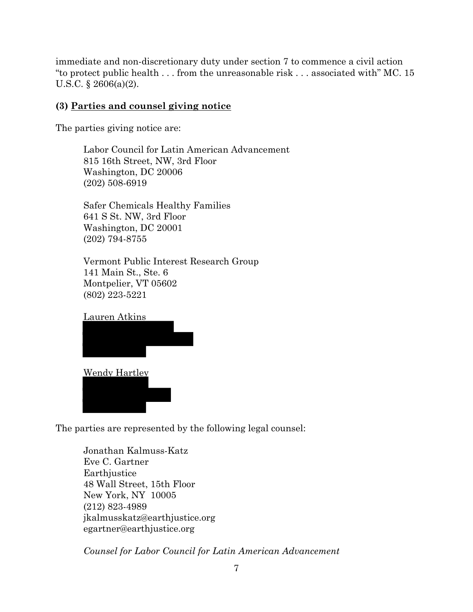immediate and non-discretionary duty under section 7 to commence a civil action "to protect public health . . . from the unreasonable risk . . . associated with" MC. 15 U.S.C. § 2606(a)(2).

## **(3) Parties and counsel giving notice**

The parties giving notice are:

Labor Council for Latin American Advancement 815 16th Street, NW, 3rd Floor Washington, DC 20006 (202) 508-6919

Safer Chemicals Healthy Families 641 S St. NW, 3rd Floor Washington, DC 20001 (202) 794-8755

Vermont Public Interest Research Group 141 Main St., Ste. 6 Montpelier, VT 05602 (802) 223-5221



 $\overline{\phantom{a}}$ 

The parties are represented by the following legal counsel:

Jonathan Kalmuss-Katz Eve C. Gartner Earthjustice 48 Wall Street, 15th Floor New York, NY 10005 (212) 823-4989 jkalmusskatz@earthjustice.org egartner@earthjustice.org

*Counsel for Labor Council for Latin American Advancement*